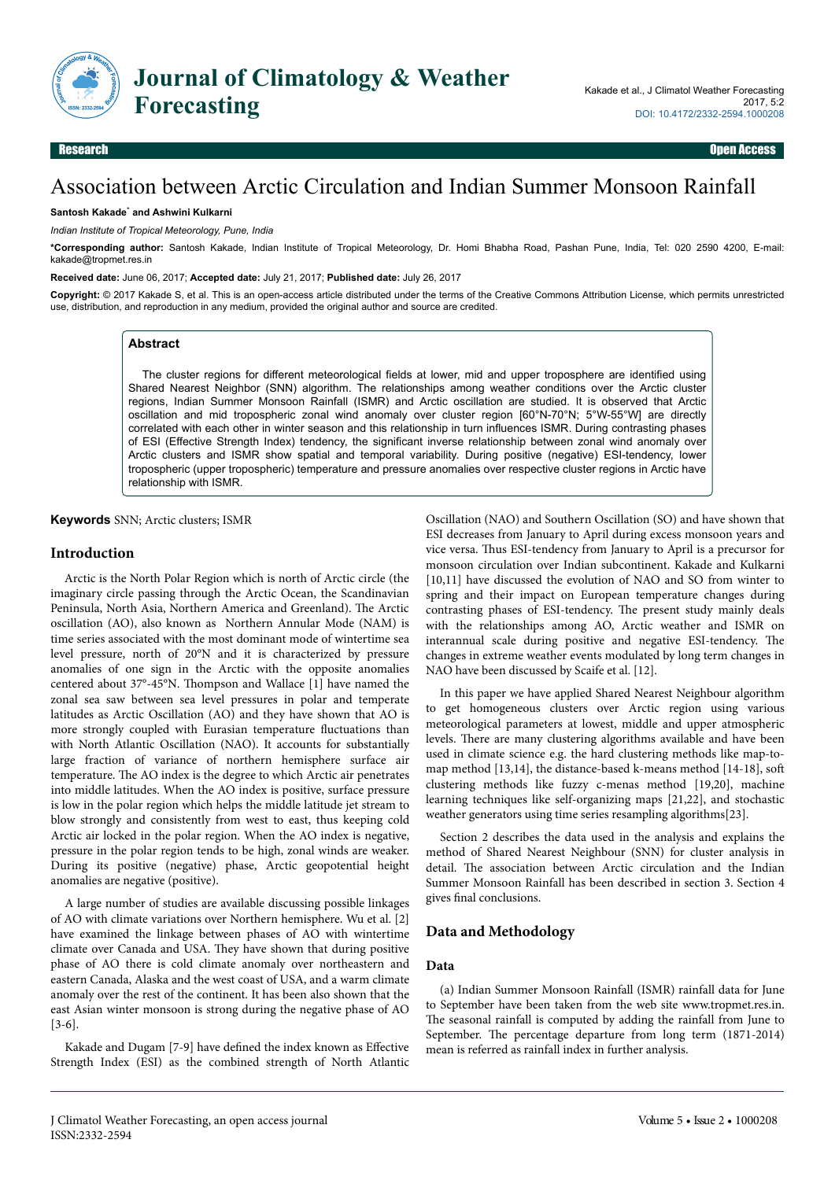

# Association between Arctic Circulation and Indian Summer Monsoon Rainfall

#### **Santosh Kakade**\*  **and Ashwini Kulkarni**

*Indian Institute of Tropical Meteorology, Pune, India*

**\*Corresponding author:** Santosh Kakade, Indian Institute of Tropical Meteorology, Dr. Homi Bhabha Road, Pashan Pune, India, Tel: 020 2590 4200, E-mail: kakade@tropmet.res.in

**Received date:** June 06, 2017; **Accepted date:** July 21, 2017; **Published date:** July 26, 2017

**Copyright:** © 2017 Kakade S, et al. This is an open-access article distributed under the terms of the Creative Commons Attribution License, which permits unrestricted use, distribution, and reproduction in any medium, provided the original author and source are credited.

## **Abstract**

The cluster regions for different meteorological fields at lower, mid and upper troposphere are identified using Shared Nearest Neighbor (SNN) algorithm. The relationships among weather conditions over the Arctic cluster regions, Indian Summer Monsoon Rainfall (ISMR) and Arctic oscillation are studied. It is observed that Arctic oscillation and mid tropospheric zonal wind anomaly over cluster region [60°N-70°N; 5°W-55°W] are directly correlated with each other in winter season and this relationship in turn influences ISMR. During contrasting phases of ESI (Effective Strength Index) tendency, the significant inverse relationship between zonal wind anomaly over Arctic clusters and ISMR show spatial and temporal variability. During positive (negative) ESI-tendency, lower tropospheric (upper tropospheric) temperature and pressure anomalies over respective cluster regions in Arctic have relationship with ISMR.

#### **Keywords** SNN; Arctic clusters; ISMR

#### **Introduction**

Arctic is the North Polar Region which is north of Arctic circle (the imaginary circle passing through the Arctic Ocean, the Scandinavian Peninsula, North Asia, Northern America and Greenland). Нe Arctic oscillation (AO), also known as Northern Annular Mode (NAM) is time series associated with the most dominant mode of wintertime sea level pressure, north of 20°N and it is characterized by pressure anomalies of one sign in the Arctic with the opposite anomalies centered about 37°-45°N. Нompson and Wallace [1] have named the zonal sea saw between sea level pressures in polar and temperate latitudes as Arctic Oscillation (AO) and they have shown that AO is more strongly coupled with Eurasian temperature fluctuations than with North Atlantic Oscillation (NAO). It accounts for substantially large fraction of variance of northern hemisphere surface air temperature. Нe AO index is the degree to which Arctic air penetrates into middle latitudes. When the AO index is positive, surface pressure is low in the polar region which helps the middle latitude jet stream to blow strongly and consistently from west to east, thus keeping cold Arctic air locked in the polar region. When the AO index is negative, pressure in the polar region tends to be high, zonal winds are weaker. During its positive (negative) phase, Arctic geopotential height anomalies are negative (positive).

A large number of studies are available discussing possible linkages of AO with climate variations over Northern hemisphere. Wu et al. [2] have examined the linkage between phases of AO with wintertime climate over Canada and USA. They have shown that during positive phase of AO there is cold climate anomaly over northeastern and eastern Canada, Alaska and the west coast of USA, and a warm climate anomaly over the rest of the continent. It has been also shown that the east Asian winter monsoon is strong during the negative phase of AO [3-6].

Kakade and Dugam [7-9] have defined the index known as Effective Strength Index (ESI) as the combined strength of North Atlantic Oscillation (NAO) and Southern Oscillation (SO) and have shown that ESI decreases from January to April during excess monsoon years and vice versa. Нus ESI-tendency from January to April is a precursor for monsoon circulation over Indian subcontinent. Kakade and Kulkarni [10,11] have discussed the evolution of NAO and SO from winter to spring and their impact on European temperature changes during contrasting phases of ESI-tendency. Нe present study mainly deals with the relationships among AO, Arctic weather and ISMR on interannual scale during positive and negative ESI-tendency. Нe changes in extreme weather events modulated by long term changes in NAO have been discussed by Scaife et al. [12].

In this paper we have applied Shared Nearest Neighbour algorithm to get homogeneous clusters over Arctic region using various meteorological parameters at lowest, middle and upper atmospheric levels. Нere are many clustering algorithms available and have been used in climate science e.g. the hard clustering methods like map-tomap method  $[13,14]$ , the distance-based k-means method  $[14-18]$ , soft clustering methods like fuzzy c-menas method [19,20], machine learning techniques like self-organizing maps [21,22], and stochastic weather generators using time series resampling algorithms[23].

Section 2 describes the data used in the analysis and explains the method of Shared Nearest Neighbour (SNN) for cluster analysis in detail. Нe association between Arctic circulation and the Indian Summer Monsoon Rainfall has been described in section 3. Section 4 gives final conclusions.

## **Data and Methodology**

#### **Data**

(a) Indian Summer Monsoon Rainfall (ISMR) rainfall data for June to September have been taken from the web site www.tropmet.res.in. The seasonal rainfall is computed by adding the rainfall from June to September. The percentage departure from long term (1871-2014) mean is referred as rainfall index in further analysis.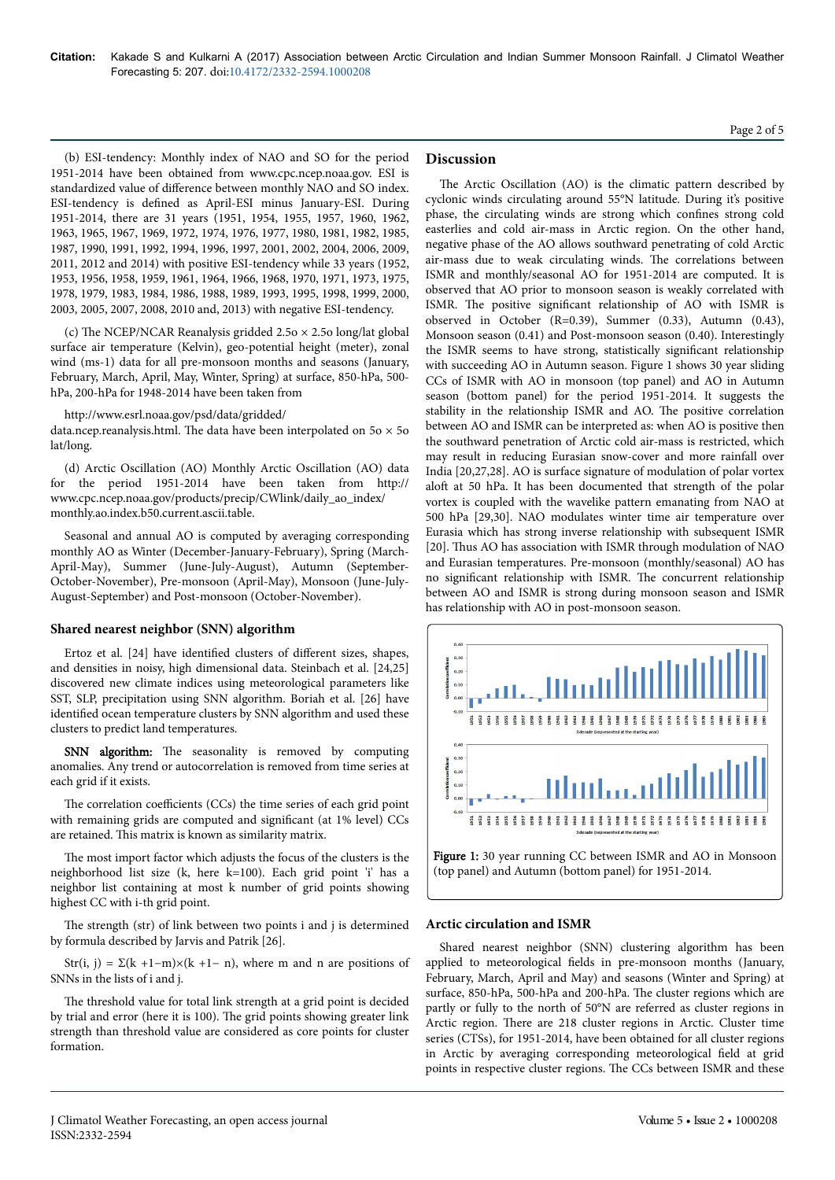(b) ESI-tendency: Monthly index of NAO and SO for the period 1951-2014 have been obtained from www.cpc.ncep.noaa.gov. ESI is standardized value of difference between monthly NAO and SO index. ESI-tendency is defined as April-ESI minus January-ESI. During 1951-2014, there are 31 years (1951, 1954, 1955, 1957, 1960, 1962, 1963, 1965, 1967, 1969, 1972, 1974, 1976, 1977, 1980, 1981, 1982, 1985, 1987, 1990, 1991, 1992, 1994, 1996, 1997, 2001, 2002, 2004, 2006, 2009, 2011, 2012 and 2014) with positive ESI-tendency while 33 years (1952, 1953, 1956, 1958, 1959, 1961, 1964, 1966, 1968, 1970, 1971, 1973, 1975, 1978, 1979, 1983, 1984, 1986, 1988, 1989, 1993, 1995, 1998, 1999, 2000, 2003, 2005, 2007, 2008, 2010 and, 2013) with negative ESI-tendency.

(c) The NCEP/NCAR Reanalysis gridded  $2.5$ o  $\times$  2.5o long/lat global surface air temperature (Kelvin), geo-potential height (meter), zonal wind (ms-1) data for all pre-monsoon months and seasons (January, February, March, April, May, Winter, Spring) at surface, 850-hPa, 500 hPa, 200-hPa for 1948-2014 have been taken from

http://www.esrl.noaa.gov/psd/data/gridded/

data.ncep.reanalysis.html. The data have been interpolated on  $50 \times 50$ lat/long.

(d) Arctic Oscillation (AO) Monthly Arctic Oscillation (AO) data for the period 1951-2014 have been taken from http:// www.cpc.ncep.noaa.gov/products/precip/CWlink/daily\_ao\_index/ monthly.ao.index.b50.current.ascii.table.

Seasonal and annual AO is computed by averaging corresponding monthly AO as Winter (December-January-February), Spring (March-April-May), Summer (June-July-August), Autumn (September-October-November), Pre-monsoon (April-May), Monsoon (June-July-August-September) and Post-monsoon (October-November).

#### **Shared nearest neighbor (SNN) algorithm**

Ertoz et al. [24] have identified clusters of different sizes, shapes, and densities in noisy, high dimensional data. Steinbach et al. [24,25] discovered new climate indices using meteorological parameters like SST, SLP, precipitation using SNN algorithm. Boriah et al. [26] have identified ocean temperature clusters by SNN algorithm and used these clusters to predict land temperatures.

SNN algorithm: The seasonality is removed by computing anomalies. Any trend or autocorrelation is removed from time series at each grid if it exists.

The correlation coefficients (CCs) the time series of each grid point with remaining grids are computed and significant (at 1% level) CCs are retained. This matrix is known as similarity matrix.

The most import factor which adjusts the focus of the clusters is the neighborhood list size (k, here k=100). Each grid point 'i' has a neighbor list containing at most k number of grid points showing highest CC with i-th grid point.

The strength (str) of link between two points i and j is determined by formula described by Jarvis and Patrik [26].

Str(i, j) =  $\Sigma(k + 1 - m) \times (k + 1 - n)$ , where m and n are positions of SNNs in the lists of i and j.

The threshold value for total link strength at a grid point is decided by trial and error (here it is 100). Нe grid points showing greater link strength than threshold value are considered as core points for cluster formation.

## **Discussion**

The Arctic Oscillation (AO) is the climatic pattern described by cyclonic winds circulating around 55°N latitude. During it's positive phase, the circulating winds are strong which confines strong cold easterlies and cold air-mass in Arctic region. On the other hand, negative phase of the AO allows southward penetrating of cold Arctic air-mass due to weak circulating winds. Нe correlations between ISMR and monthly/seasonal AO for 1951-2014 are computed. It is observed that AO prior to monsoon season is weakly correlated with ISMR. The positive significant relationship of AO with ISMR is observed in October (R=0.39), Summer (0.33), Autumn (0.43), Monsoon season (0.41) and Post-monsoon season (0.40). Interestingly the ISMR seems to have strong, statistically significant relationship with succeeding AO in Autumn season. Figure 1 shows 30 year sliding CCs of ISMR with AO in monsoon (top panel) and AO in Autumn season (bottom panel) for the period 1951-2014. It suggests the stability in the relationship ISMR and AO. Нe positive correlation between AO and ISMR can be interpreted as: when AO is positive then the southward penetration of Arctic cold air-mass is restricted, which may result in reducing Eurasian snow-cover and more rainfall over India [20,27,28]. AO is surface signature of modulation of polar vortex aloft at 50 hPa. It has been documented that strength of the polar vortex is coupled with the wavelike pattern emanating from NAO at 500 hPa [29,30]. NAO modulates winter time air temperature over Eurasia which has strong inverse relationship with subsequent ISMR [20]. Нus AO has association with ISMR through modulation of NAO and Eurasian temperatures. Pre-monsoon (monthly/seasonal) AO has no significant relationship with ISMR. The concurrent relationship between AO and ISMR is strong during monsoon season and ISMR has relationship with AO in post-monsoon season.



Figure 1: 30 year running CC between ISMR and AO in Monsoon (top panel) and Autumn (bottom panel) for 1951-2014.

## **Arctic circulation and ISMR**

Shared nearest neighbor (SNN) clustering algorithm has been applied to meteorological fields in pre-monsoon months (January, February, March, April and May) and seasons (Winter and Spring) at surface, 850-hPa, 500-hPa and 200-hPa. Нe cluster regions which are partly or fully to the north of 50°N are referred as cluster regions in Arctic region. Нere are 218 cluster regions in Arctic. Cluster time series (CTSs), for 1951-2014, have been obtained for all cluster regions in Arctic by averaging corresponding meteorological field at grid points in respective cluster regions. Нe CCs between ISMR and these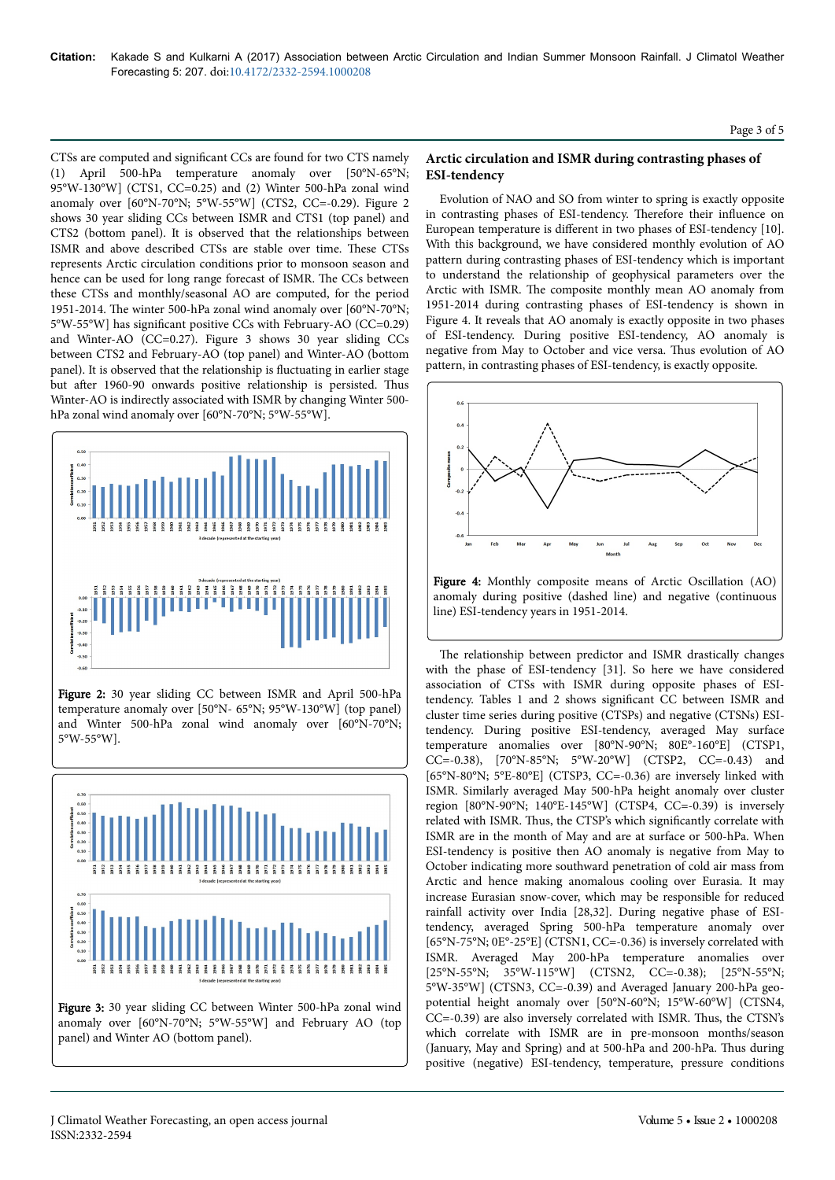Page 3 of 5

CTSs are computed and significant CCs are found for two CTS namely (1) April 500-hPa temperature anomaly over [50°N-65°N; 95°W-130°W] (CTS1, CC=0.25) and (2) Winter 500-hPa zonal wind anomaly over [60°N-70°N; 5°W-55°W] (CTS2, CC=-0.29). Figure 2 shows 30 year sliding CCs between ISMR and CTS1 (top panel) and CTS2 (bottom panel). It is observed that the relationships between ISMR and above described CTSs are stable over time. Нese CTSs represents Arctic circulation conditions prior to monsoon season and hence can be used for long range forecast of ISMR. Нe CCs between these CTSs and monthly/seasonal AO are computed, for the period 1951-2014. Нe winter 500-hPa zonal wind anomaly over [60°N-70°N; 5°W-55°W] has significant positive CCs with February-AO (CC=0.29) and Winter-AO (CC=0.27). Figure 3 shows 30 year sliding CCs between CTS2 and February-AO (top panel) and Winter-AO (bottom panel). It is observed that the relationship is fluctuating in earlier stage but after 1960-90 onwards positive relationship is persisted. Thus Winter-AO is indirectly associated with ISMR by changing Winter 500 hPa zonal wind anomaly over [60°N-70°N; 5°W-55°W].



Figure 2: 30 year sliding CC between ISMR and April 500-hPa temperature anomaly over [50°N- 65°N; 95°W-130°W] (top panel) and Winter 500-hPa zonal wind anomaly over [60°N-70°N; 5°W-55°W].





# **Arctic circulation and ISMR during contrasting phases of ESI-tendency**

Evolution of NAO and SO from winter to spring is exactly opposite in contrasting phases of ESI-tendency. Therefore their influence on European temperature is different in two phases of ESI-tendency [10]. With this background, we have considered monthly evolution of AO pattern during contrasting phases of ESI-tendency which is important to understand the relationship of geophysical parameters over the Arctic with ISMR. Нe composite monthly mean AO anomaly from 1951-2014 during contrasting phases of ESI-tendency is shown in Figure 4. It reveals that AO anomaly is exactly opposite in two phases of ESI-tendency. During positive ESI-tendency, AO anomaly is negative from May to October and vice versa. Нus evolution of AO pattern, in contrasting phases of ESI-tendency, is exactly opposite.



Figure 4: Monthly composite means of Arctic Oscillation (AO) anomaly during positive (dashed line) and negative (continuous line) ESI-tendency years in 1951-2014.

The relationship between predictor and ISMR drastically changes with the phase of ESI-tendency [31]. So here we have considered association of CTSs with ISMR during opposite phases of ESItendency. Tables 1 and 2 shows significant CC between ISMR and cluster time series during positive (CTSPs) and negative (CTSNs) ESItendency. During positive ESI-tendency, averaged May surface temperature anomalies over [80°N-90°N; 80E°-160°E] (CTSP1, CC=-0.38), [70°N-85°N; 5°W-20°W] (CTSP2, CC=-0.43) and [65°N-80°N; 5°E-80°E] (CTSP3, CC=-0.36) are inversely linked with ISMR. Similarly averaged May 500-hPa height anomaly over cluster region [80°N-90°N; 140°E-145°W] (CTSP4, CC=-0.39) is inversely related with ISMR. Thus, the CTSP's which significantly correlate with ISMR are in the month of May and are at surface or 500-hPa. When ESI-tendency is positive then AO anomaly is negative from May to October indicating more southward penetration of cold air mass from Arctic and hence making anomalous cooling over Eurasia. It may increase Eurasian snow-cover, which may be responsible for reduced rainfall activity over India [28,32]. During negative phase of ESItendency, averaged Spring 500-hPa temperature anomaly over [65°N-75°N; 0E°-25°E] (CTSN1, CC=-0.36) is inversely correlated with ISMR. Averaged May 200-hPa temperature anomalies over [25°N-55°N; 35°W-115°W] (CTSN2, CC=-0.38); [25°N-55°N; 5°W-35°W] (CTSN3, CC=-0.39) and Averaged January 200-hPa geopotential height anomaly over [50°N-60°N; 15°W-60°W] (CTSN4, CC=-0.39) are also inversely correlated with ISMR. Thus, the CTSN's which correlate with ISMR are in pre-monsoon months/season (January, May and Spring) and at 500-hPa and 200-hPa. Нus during positive (negative) ESI-tendency, temperature, pressure conditions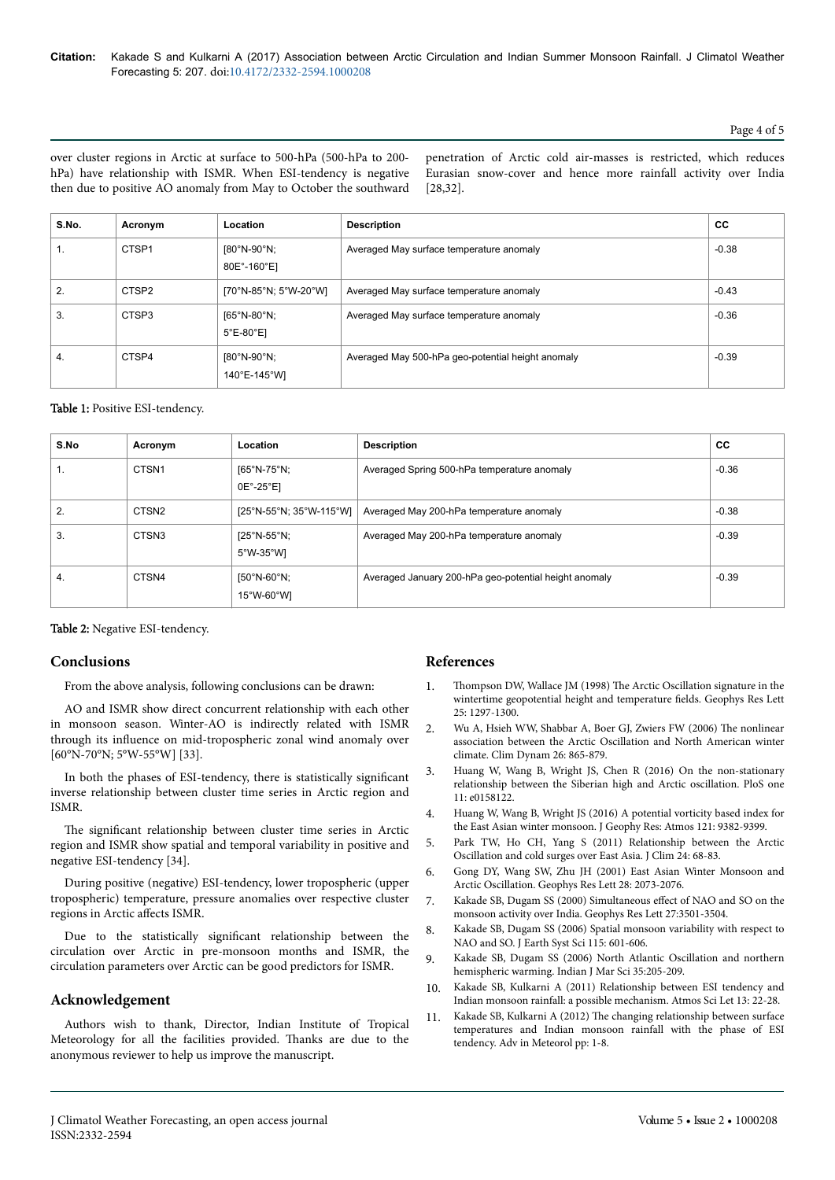# Page 4 of 5

over cluster regions in Arctic at surface to 500-hPa (500-hPa to 200 hPa) have relationship with ISMR. When ESI-tendency is negative then due to positive AO anomaly from May to October the southward

penetration of Arctic cold air-masses is restricted, which reduces Eurasian snow-cover and hence more rainfall activity over India [28,32].

| S.No. | Acronym | Location                    | <b>Description</b>                                | <b>CC</b> |
|-------|---------|-----------------------------|---------------------------------------------------|-----------|
| 1.    | CTSP1   | [80°N-90°N;<br>80E°-160°E1  | Averaged May surface temperature anomaly          | $-0.38$   |
| 2.    | CTSP2   | [70°N-85°N; 5°W-20°W]       | Averaged May surface temperature anomaly          | $-0.43$   |
| 3.    | CTSP3   | [65°N-80°N;<br>5°E-80°E1    | Averaged May surface temperature anomaly          | $-0.36$   |
| 4.    | CTSP4   | [80°N-90°N;<br>140°E-145°W] | Averaged May 500-hPa geo-potential height anomaly | $-0.39$   |

#### Table 1: Positive ESI-tendency.

| S.No | Acronym           | Location                                                      | <b>Description</b>                                    | <b>CC</b> |
|------|-------------------|---------------------------------------------------------------|-------------------------------------------------------|-----------|
| 1.   | CTSN <sub>1</sub> | [65°N-75°N;<br>0E°-25°E1                                      | Averaged Spring 500-hPa temperature anomaly           | $-0.36$   |
| 2.   | CTSN <sub>2</sub> | $[25^{\circ}N-55^{\circ}N; 35^{\circ}W-115^{\circ}W]$         | Averaged May 200-hPa temperature anomaly              | $-0.38$   |
| 3.   | CTSN3             | $[25^{\circ}N-55^{\circ}N]$<br>$5^{\circ}$ W-35 $^{\circ}$ W] | Averaged May 200-hPa temperature anomaly              | $-0.39$   |
| 4.   | CTSN4             | $[50^{\circ}N-60^{\circ}N]$<br>15°W-60°W]                     | Averaged January 200-hPa geo-potential height anomaly | $-0.39$   |

## Table 2: Negative ESI-tendency.

## **Conclusions**

From the above analysis, following conclusions can be drawn:

AO and ISMR show direct concurrent relationship with each other in monsoon season. Winter-AO is indirectly related with ISMR through its influence on mid-tropospheric zonal wind anomaly over [60°N-70°N; 5°W-55°W] [33].

In both the phases of ESI-tendency, there is statistically significant inverse relationship between cluster time series in Arctic region and ISMR.

The significant relationship between cluster time series in Arctic region and ISMR show spatial and temporal variability in positive and negative ESI-tendency [34].

During positive (negative) ESI-tendency, lower tropospheric (upper tropospheric) temperature, pressure anomalies over respective cluster regions in Arctic affects ISMR.

Due to the statistically significant relationship between the circulation over Arctic in pre-monsoon months and ISMR, the circulation parameters over Arctic can be good predictors for ISMR.

## **Acknowledgement**

Authors wish to thank, Director, Indian Institute of Tropical Meteorology for all the facilities provided. Thanks are due to the anonymous reviewer to help us improve the manuscript.

## **References**

- 1 Thompson DW, Wallace JM (1998) The [Arctic Oscillation signature in the](https://doi.org/10.1029/98gl00950) [wintertime geopotential height and temperature](https://doi.org/10.1029/98gl00950) fields. Geophys Res Lett [25: 1297-1300](https://doi.org/10.1029/98gl00950).
- 2. [Wu A, Hsieh WW, Shabbar A, Boer GJ, Zwiers FW \(2006\)](https://doi.org/10.1007/s00382-006-0118-8) The nonlinear [association between the Arctic Oscillation and North American winter](https://doi.org/10.1007/s00382-006-0118-8) [climate. Clim Dynam 26: 865-879](https://doi.org/10.1007/s00382-006-0118-8).
- 3. [Huang W, Wang B, Wright JS, Chen R \(2016\) On the non-stationary](https://doi.org/10.1371/journal.pone.0158122) [relationship between the Siberian high and Arctic oscillation. PloS one](https://doi.org/10.1371/journal.pone.0158122) [11: e0158122](https://doi.org/10.1371/journal.pone.0158122).
- 4. [Huang W, Wang B, Wright JS \(2016\) A potential vorticity based index for](https://doi.org/10.1002/2016jd025053) [the East Asian winter monsoon. J Geophy Res: Atmos 121: 9382-9399](https://doi.org/10.1002/2016jd025053).
- 5. [Park TW, Ho CH, Yang S \(2011\) Relationship between the Arctic](https://doi.org/10.1175/2010jcli3529.1) [Oscillation and cold surges over East Asia. J Clim 24: 68-83](https://doi.org/10.1175/2010jcli3529.1).
- 6. [Gong DY, Wang SW, Zhu JH \(2001\) East Asian Winter Monsoon and](https://doi.org/10.1029/2000gl012311) [Arctic Oscillation. Geophys Res Lett 28: 2073-2076](https://doi.org/10.1029/2000gl012311).
- 7. [Kakade SB, Dugam SS \(2000\) Simultaneous](https://doi.org/10.1029/1999gl011201) effect of NAO and SO on the [monsoon activity over India. Geophys Res Lett 27:3501-3504](https://doi.org/10.1029/1999gl011201).
- 8. [Kakade SB, Dugam SS \(2006\) Spatial monsoon variability with respect to](https://doi.org/10.1007/bf02702912) [NAO and SO. J Earth Syst Sci 115: 601-606](https://doi.org/10.1007/bf02702912).
- 9. [Kakade SB, Dugam SS \(2006\) North Atlantic Oscillation and northern](http://nopr.niscair.res.in/handle/123456789/1517) [hemispheric warming. Indian J Mar Sci 35:205-209.](http://nopr.niscair.res.in/handle/123456789/1517)
- 10. [Kakade SB, Kulkarni A \(2011\) Relationship between ESI tendency and](https://doi.org/10.1002/asl.357) [Indian monsoon rainfall: a possible mechanism. Atmos Sci Let 13: 22-28.](https://doi.org/10.1002/asl.357)
- 11. Kakade SB, Kulkarni A (2012) Нe [changing relationship between surface](https://doi.org/10.1155/2012/934624) [temperatures and Indian monsoon rainfall with the phase of ESI](https://doi.org/10.1155/2012/934624) [tendency. Adv in Meteorol pp: 1-8.](https://doi.org/10.1155/2012/934624)